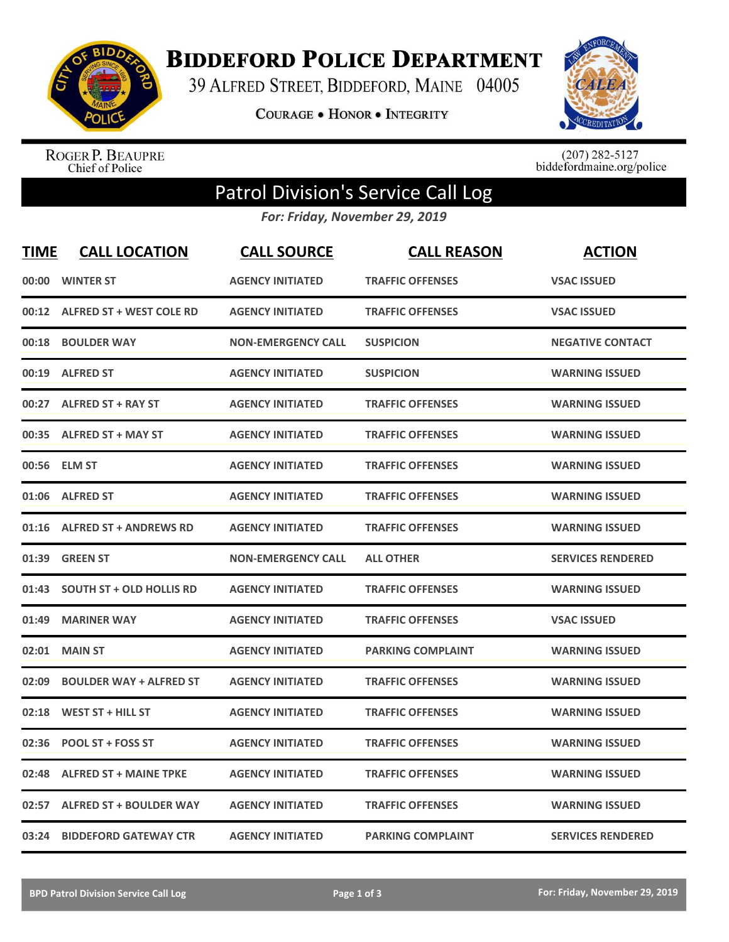

**BIDDEFORD POLICE DEPARTMENT** 

39 ALFRED STREET, BIDDEFORD, MAINE 04005

COURAGE . HONOR . INTEGRITY



ROGER P. BEAUPRE<br>Chief of Police

 $(207)$  282-5127<br>biddefordmaine.org/police

## Patrol Division's Service Call Log

*For: Friday, November 29, 2019*

| <b>TIME</b> | <b>CALL LOCATION</b>            | <b>CALL SOURCE</b>        | <b>CALL REASON</b>       | <b>ACTION</b>            |
|-------------|---------------------------------|---------------------------|--------------------------|--------------------------|
| 00:00       | <b>WINTER ST</b>                | <b>AGENCY INITIATED</b>   | <b>TRAFFIC OFFENSES</b>  | <b>VSAC ISSUED</b>       |
|             | 00:12 ALFRED ST + WEST COLE RD  | <b>AGENCY INITIATED</b>   | <b>TRAFFIC OFFENSES</b>  | <b>VSAC ISSUED</b>       |
| 00:18       | <b>BOULDER WAY</b>              | <b>NON-EMERGENCY CALL</b> | <b>SUSPICION</b>         | <b>NEGATIVE CONTACT</b>  |
| 00:19       | <b>ALFRED ST</b>                | <b>AGENCY INITIATED</b>   | <b>SUSPICION</b>         | <b>WARNING ISSUED</b>    |
| 00:27       | <b>ALFRED ST + RAY ST</b>       | <b>AGENCY INITIATED</b>   | <b>TRAFFIC OFFENSES</b>  | <b>WARNING ISSUED</b>    |
| 00:35       | <b>ALFRED ST + MAY ST</b>       | <b>AGENCY INITIATED</b>   | <b>TRAFFIC OFFENSES</b>  | <b>WARNING ISSUED</b>    |
| 00:56       | <b>ELM ST</b>                   | <b>AGENCY INITIATED</b>   | <b>TRAFFIC OFFENSES</b>  | <b>WARNING ISSUED</b>    |
| 01:06       | <b>ALFRED ST</b>                | <b>AGENCY INITIATED</b>   | <b>TRAFFIC OFFENSES</b>  | <b>WARNING ISSUED</b>    |
| 01:16       | <b>ALFRED ST + ANDREWS RD</b>   | <b>AGENCY INITIATED</b>   | <b>TRAFFIC OFFENSES</b>  | <b>WARNING ISSUED</b>    |
| 01:39       | <b>GREEN ST</b>                 | <b>NON-EMERGENCY CALL</b> | <b>ALL OTHER</b>         | <b>SERVICES RENDERED</b> |
| 01:43       | <b>SOUTH ST + OLD HOLLIS RD</b> | <b>AGENCY INITIATED</b>   | <b>TRAFFIC OFFENSES</b>  | <b>WARNING ISSUED</b>    |
| 01:49       | <b>MARINER WAY</b>              | <b>AGENCY INITIATED</b>   | <b>TRAFFIC OFFENSES</b>  | <b>VSAC ISSUED</b>       |
| 02:01       | <b>MAIN ST</b>                  | <b>AGENCY INITIATED</b>   | <b>PARKING COMPLAINT</b> | <b>WARNING ISSUED</b>    |
| 02:09       | <b>BOULDER WAY + ALFRED ST</b>  | <b>AGENCY INITIATED</b>   | <b>TRAFFIC OFFENSES</b>  | <b>WARNING ISSUED</b>    |
| 02:18       | <b>WEST ST + HILL ST</b>        | <b>AGENCY INITIATED</b>   | <b>TRAFFIC OFFENSES</b>  | <b>WARNING ISSUED</b>    |
| 02:36       | <b>POOL ST + FOSS ST</b>        | <b>AGENCY INITIATED</b>   | <b>TRAFFIC OFFENSES</b>  | <b>WARNING ISSUED</b>    |
| 02:48       | <b>ALFRED ST + MAINE TPKE</b>   | <b>AGENCY INITIATED</b>   | <b>TRAFFIC OFFENSES</b>  | <b>WARNING ISSUED</b>    |
| 02:57       | <b>ALFRED ST + BOULDER WAY</b>  | <b>AGENCY INITIATED</b>   | <b>TRAFFIC OFFENSES</b>  | <b>WARNING ISSUED</b>    |
| 03:24       | <b>BIDDEFORD GATEWAY CTR</b>    | <b>AGENCY INITIATED</b>   | <b>PARKING COMPLAINT</b> | <b>SERVICES RENDERED</b> |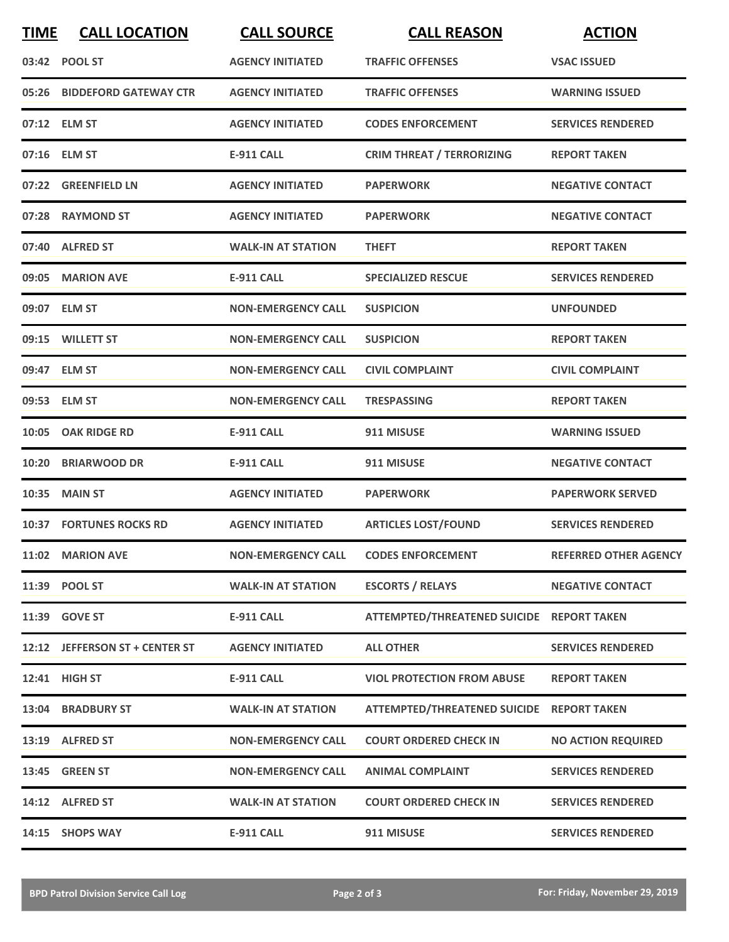| <b>TIME</b> | <b>CALL LOCATION</b>           | <b>CALL SOURCE</b>        | <b>CALL REASON</b>                        | <b>ACTION</b>                |
|-------------|--------------------------------|---------------------------|-------------------------------------------|------------------------------|
|             | 03:42 POOL ST                  | <b>AGENCY INITIATED</b>   | <b>TRAFFIC OFFENSES</b>                   | <b>VSAC ISSUED</b>           |
| 05:26       | <b>BIDDEFORD GATEWAY CTR</b>   | <b>AGENCY INITIATED</b>   | <b>TRAFFIC OFFENSES</b>                   | <b>WARNING ISSUED</b>        |
|             | 07:12 ELM ST                   | <b>AGENCY INITIATED</b>   | <b>CODES ENFORCEMENT</b>                  | <b>SERVICES RENDERED</b>     |
|             | 07:16 ELM ST                   | <b>E-911 CALL</b>         | <b>CRIM THREAT / TERRORIZING</b>          | <b>REPORT TAKEN</b>          |
|             | 07:22 GREENFIELD LN            | <b>AGENCY INITIATED</b>   | <b>PAPERWORK</b>                          | <b>NEGATIVE CONTACT</b>      |
|             | 07:28 RAYMOND ST               | <b>AGENCY INITIATED</b>   | <b>PAPERWORK</b>                          | <b>NEGATIVE CONTACT</b>      |
|             | 07:40 ALFRED ST                | <b>WALK-IN AT STATION</b> | <b>THEFT</b>                              | <b>REPORT TAKEN</b>          |
|             | 09:05 MARION AVE               | <b>E-911 CALL</b>         | <b>SPECIALIZED RESCUE</b>                 | <b>SERVICES RENDERED</b>     |
|             | 09:07 ELM ST                   | <b>NON-EMERGENCY CALL</b> | <b>SUSPICION</b>                          | <b>UNFOUNDED</b>             |
|             | 09:15 WILLETT ST               | <b>NON-EMERGENCY CALL</b> | <b>SUSPICION</b>                          | <b>REPORT TAKEN</b>          |
|             | 09:47 ELM ST                   | <b>NON-EMERGENCY CALL</b> | <b>CIVIL COMPLAINT</b>                    | <b>CIVIL COMPLAINT</b>       |
|             | 09:53 ELM ST                   | <b>NON-EMERGENCY CALL</b> | <b>TRESPASSING</b>                        | <b>REPORT TAKEN</b>          |
|             | 10:05 OAK RIDGE RD             | <b>E-911 CALL</b>         | 911 MISUSE                                | <b>WARNING ISSUED</b>        |
| 10:20       | <b>BRIARWOOD DR</b>            | <b>E-911 CALL</b>         | 911 MISUSE                                | <b>NEGATIVE CONTACT</b>      |
| 10:35       | <b>MAIN ST</b>                 | <b>AGENCY INITIATED</b>   | <b>PAPERWORK</b>                          | <b>PAPERWORK SERVED</b>      |
|             | <b>10:37 FORTUNES ROCKS RD</b> | <b>AGENCY INITIATED</b>   | <b>ARTICLES LOST/FOUND</b>                | <b>SERVICES RENDERED</b>     |
|             | 11:02 MARION AVE               | <b>NON-EMERGENCY CALL</b> | <b>CODES ENFORCEMENT</b>                  | <b>REFERRED OTHER AGENCY</b> |
|             | 11:39 POOL ST                  | <b>WALK-IN AT STATION</b> | <b>ESCORTS / RELAYS</b>                   | <b>NEGATIVE CONTACT</b>      |
|             | 11:39 GOVE ST                  | <b>E-911 CALL</b>         | ATTEMPTED/THREATENED SUICIDE REPORT TAKEN |                              |
|             | 12:12 JEFFERSON ST + CENTER ST | <b>AGENCY INITIATED</b>   | <b>ALL OTHER</b>                          | <b>SERVICES RENDERED</b>     |
|             | 12:41 HIGH ST                  | <b>E-911 CALL</b>         | <b>VIOL PROTECTION FROM ABUSE</b>         | <b>REPORT TAKEN</b>          |
|             | 13:04 BRADBURY ST              | <b>WALK-IN AT STATION</b> | ATTEMPTED/THREATENED SUICIDE REPORT TAKEN |                              |
|             | 13:19 ALFRED ST                | <b>NON-EMERGENCY CALL</b> | <b>COURT ORDERED CHECK IN</b>             | <b>NO ACTION REQUIRED</b>    |
|             | 13:45 GREEN ST                 | <b>NON-EMERGENCY CALL</b> | <b>ANIMAL COMPLAINT</b>                   | <b>SERVICES RENDERED</b>     |
|             | 14:12 ALFRED ST                | <b>WALK-IN AT STATION</b> | <b>COURT ORDERED CHECK IN</b>             | <b>SERVICES RENDERED</b>     |
|             | 14:15 SHOPS WAY                | E-911 CALL                | 911 MISUSE                                | <b>SERVICES RENDERED</b>     |